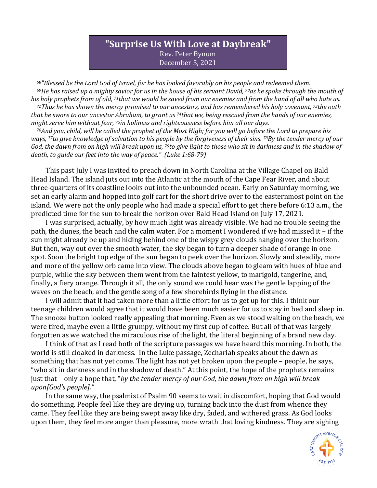## **"Surprise Us With Love at Daybreak"** Rev. Peter Bynum December 5, 2021

*<sup>68</sup>"Blessed be the Lord God of Israel, for he has looked favorably on his people and redeemed them. <sup>69</sup>He has raised up a mighty savior for us in the house of his servant David, <sup>70</sup>as he spoke through the mouth of his holy prophets from of old, <sup>71</sup>that we would be saved from our enemies and from the hand of all who hate us. <sup>72</sup>Thus he has shown the mercy promised to our ancestors, and has remembered his holy covenant, <sup>73</sup>the oath that he swore to our ancestor Abraham, to grant us <sup>74</sup>that we, being rescued from the hands of our enemies, might serve him without fear, <sup>75</sup>in holiness and righteousness before him all our days.*

*<sup>76</sup>And you, child, will be called the prophet of the Most High; for you will go before the Lord to prepare his ways, <sup>77</sup>to give knowledge of salvation to his people by the forgiveness of their sins. <sup>78</sup>By the tender mercy of our God, the dawn from on high will break upon us, <sup>79</sup>to give light to those who sit in darkness and in the shadow of death, to guide our feet into the way of peace." (Luke 1:68-79)*

This past July I was invited to preach down in North Carolina at the Village Chapel on Bald Head Island. The island juts out into the Atlantic at the mouth of the Cape Fear River, and about three-quarters of its coastline looks out into the unbounded ocean. Early on Saturday morning, we set an early alarm and hopped into golf cart for the short drive over to the easternmost point on the island. We were not the only people who had made a special effort to get there before 6:13 a.m., the predicted time for the sun to break the horizon over Bald Head Island on July 17, 2021.

I was surprised, actually, by how much light was already visible. We had no trouble seeing the path, the dunes, the beach and the calm water. For a moment I wondered if we had missed it – if the sun might already be up and hiding behind one of the wispy grey clouds hanging over the horizon. But then, way out over the smooth water, the sky began to turn a deeper shade of orange in one spot. Soon the bright top edge of the sun began to peek over the horizon. Slowly and steadily, more and more of the yellow orb came into view. The clouds above began to gleam with hues of blue and purple, while the sky between them went from the faintest yellow, to marigold, tangerine, and, finally, a fiery orange. Through it all, the only sound we could hear was the gentle lapping of the waves on the beach, and the gentle song of a few shorebirds flying in the distance.

I will admit that it had taken more than a little effort for us to get up for this. I think our teenage children would agree that it would have been much easier for us to stay in bed and sleep in. The snooze button looked really appealing that morning. Even as we stood waiting on the beach, we were tired, maybe even a little grumpy, without my first cup of coffee. But all of that was largely forgotten as we watched the miraculous rise of the light, the literal beginning of a brand new day.

I think of that as I read both of the scripture passages we have heard this morning. In both, the world is still cloaked in darkness. In the Luke passage, Zechariah speaks about the dawn as something that has not yet come. The light has not yet broken upon the people – people, he says, "who sit in darkness and in the shadow of death." At this point, the hope of the prophets remains just that – only a hope that, "*by the tender mercy of our God, the dawn from on high will break upon[God's people]."*

In the same way, the psalmist of Psalm 90 seems to wait in discomfort, hoping that God would do something. People feel like they are drying up, turning back into the dust from whence they came. They feel like they are being swept away like dry, faded, and withered grass. As God looks upon them, they feel more anger than pleasure, more wrath that loving kindness. They are sighing

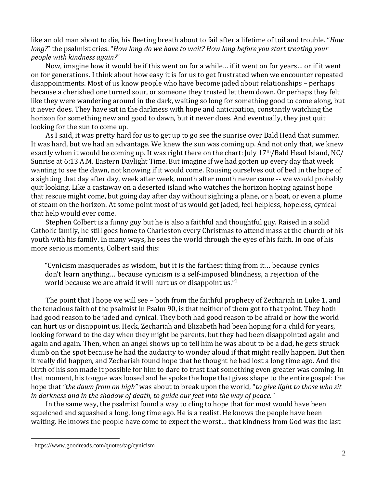like an old man about to die, his fleeting breath about to fail after a lifetime of toil and trouble. "*How long?*" the psalmist cries. "*How long do we have to wait? How long before you start treating your people with kindness again?*"

Now, imagine how it would be if this went on for a while… if it went on for years… or if it went on for generations. I think about how easy it is for us to get frustrated when we encounter repeated disappointments. Most of us know people who have become jaded about relationships – perhaps because a cherished one turned sour, or someone they trusted let them down. Or perhaps they felt like they were wandering around in the dark, waiting so long for something good to come along, but it never does. They have sat in the darkness with hope and anticipation, constantly watching the horizon for something new and good to dawn, but it never does. And eventually, they just quit looking for the sun to come up.

As I said, it was pretty hard for us to get up to go see the sunrise over Bald Head that summer. It was hard, but we had an advantage. We knew the sun was coming up. And not only that, we knew exactly when it would be coming up. It was right there on the chart: July 17th/Bald Head Island, NC/ Sunrise at 6:13 A.M. Eastern Daylight Time. But imagine if we had gotten up every day that week wanting to see the dawn, not knowing if it would come. Rousing ourselves out of bed in the hope of a sighting that day after day, week after week, month after month never came -- we would probably quit looking. Like a castaway on a deserted island who watches the horizon hoping against hope that rescue might come, but going day after day without sighting a plane, or a boat, or even a plume of steam on the horizon. At some point most of us would get jaded, feel helpless, hopeless, cynical that help would ever come.

Stephen Colbert is a funny guy but he is also a faithful and thoughtful guy. Raised in a solid Catholic family, he still goes home to Charleston every Christmas to attend mass at the church of his youth with his family. In many ways, he sees the world through the eyes of his faith. In one of his more serious moments, Colbert said this:

"Cynicism masquerades as wisdom, but it is the farthest thing from it… because cynics don't learn anything… because cynicism is a self-imposed blindness, a rejection of the world because we are afraid it will hurt us or disappoint us." $1$ 

The point that I hope we will see – both from the faithful prophecy of Zechariah in Luke 1, and the tenacious faith of the psalmist in Psalm 90, is that neither of them got to that point. They both had good reason to be jaded and cynical. They both had good reason to be afraid or how the world can hurt us or disappoint us. Heck, Zechariah and Elizabeth had been hoping for a child for years, looking forward to the day when they might be parents, but they had been disappointed again and again and again. Then, when an angel shows up to tell him he was about to be a dad, he gets struck dumb on the spot because he had the audacity to wonder aloud if that might really happen. But then it really did happen, and Zechariah found hope that he thought he had lost a long time ago. And the birth of his son made it possible for him to dare to trust that something even greater was coming. In that moment, his tongue was loosed and he spoke the hope that gives shape to the entire gospel: the hope that *"the dawn from on high"* was about to break upon the world, "*to give light to those who sit in darkness and in the shadow of death, to guide our feet into the way of peace."*

In the same way, the psalmist found a way to cling to hope that for most would have been squelched and squashed a long, long time ago. He is a realist. He knows the people have been waiting. He knows the people have come to expect the worst… that kindness from God was the last

<sup>1</sup> <https://www.goodreads.com/quotes/tag/cynicism>